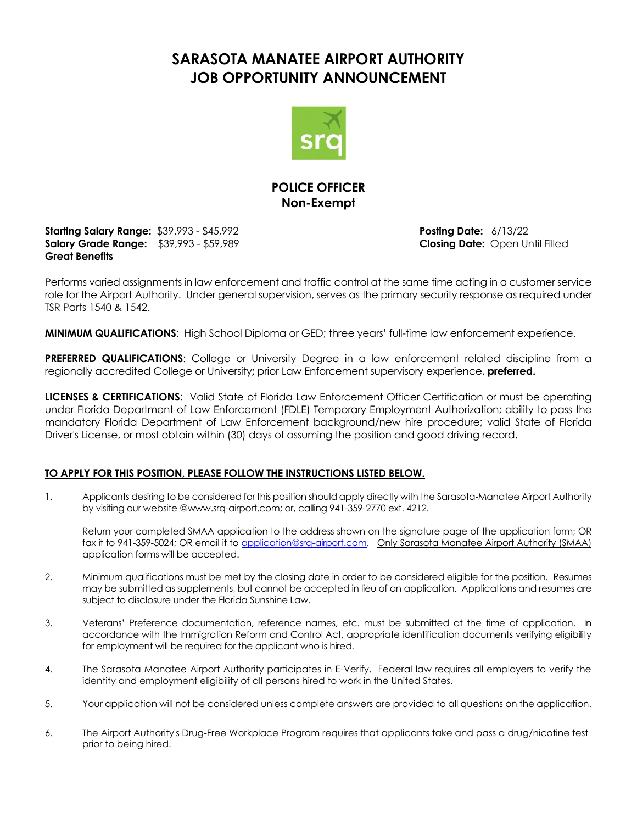## **SARASOTA MANATEE AIRPORT AUTHORITY JOB OPPORTUNITY ANNOUNCEMENT**



### **POLICE OFFICER Non-Exempt**

**Starting Salary Range:** \$39.993 - \$45,992 **Posting Date:** 6/13/22 **Salary Grade Range:** \$39,993 - \$59,989 **Closing Date:** Open Until Filled **Great Benefits**

Performs varied assignments in law enforcement and traffic control at the same time acting in a customer service role for the Airport Authority. Under general supervision, serves as the primary security response as required under TSR Parts 1540 & 1542.

**MINIMUM QUALIFICATIONS**: High School Diploma or GED; three years' full-time law enforcement experience.

**PREFERRED QUALIFICATIONS:** College or University Degree in a law enforcement related discipline from a regionally accredited College or University**;** prior Law Enforcement supervisory experience, **preferred.**

**LICENSES & CERTIFICATIONS**: Valid State of Florida Law Enforcement Officer Certification or must be operating under Florida Department of Law Enforcement (FDLE) Temporary Employment Authorization; ability to pass the mandatory Florida Department of Law Enforcement background/new hire procedure; valid State of Florida Driver's License, or most obtain within (30) days of assuming the position and good driving record.

#### **TO APPLY FOR THIS POSITION, PLEASE FOLLOW THE INSTRUCTIONS LISTED BELOW.**

1. Applicants desiring to be considered for this position should apply directly with the Sarasota-Manatee Airport Authority by visiting our website @www.srq-airport.com; or, calling 941-359-2770 ext. 4212.

Return your completed SMAA application to the address shown on the signature page of the application form; OR fax it to 941-359-5024; OR email it to [application@srq-airport.com.](mailto:application@srq-airport.com) Only Sarasota Manatee Airport Authority (SMAA) application forms will be accepted.

- 2. Minimum qualifications must be met by the closing date in order to be considered eligible for the position. Resumes may be submitted as supplements, but cannot be accepted in lieu of an application. Applications and resumes are subject to disclosure under the Florida Sunshine Law.
- 3. Veterans' Preference documentation, reference names, etc. must be submitted at the time of application. In accordance with the Immigration Reform and Control Act, appropriate identification documents verifying eligibility for employment will be required for the applicant who is hired.
- 4. The Sarasota Manatee Airport Authority participates in E-Verify. Federal law requires all employers to verify the identity and employment eligibility of all persons hired to work in the United States.
- 5. Your application will not be considered unless complete answers are provided to all questions on the application.
- 6. The Airport Authority's Drug-Free Workplace Program requires that applicants take and pass a drug/nicotine test prior to being hired.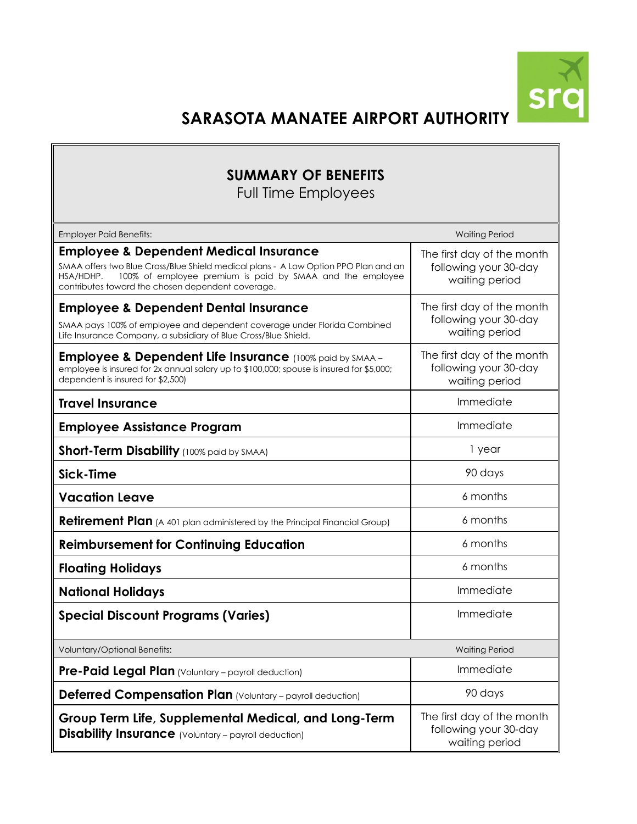

# **SARASOTA MANATEE AIRPORT AUTHORITY**

## **SUMMARY OF BENEFITS**

Full Time Employees

| <b>Employer Paid Benefits:</b>                                                                                                                                                                                                                                          | <b>Waiting Period</b>                                                 |  |
|-------------------------------------------------------------------------------------------------------------------------------------------------------------------------------------------------------------------------------------------------------------------------|-----------------------------------------------------------------------|--|
| <b>Employee &amp; Dependent Medical Insurance</b><br>SMAA offers two Blue Cross/Blue Shield medical plans - A Low Option PPO Plan and an<br>100% of employee premium is paid by SMAA and the employee<br>HSA/HDHP.<br>contributes toward the chosen dependent coverage. | The first day of the month<br>following your 30-day<br>waiting period |  |
| <b>Employee &amp; Dependent Dental Insurance</b><br>SMAA pays 100% of employee and dependent coverage under Florida Combined<br>Life Insurance Company, a subsidiary of Blue Cross/Blue Shield.                                                                         | The first day of the month<br>following your 30-day<br>waiting period |  |
| <b>Employee &amp; Dependent Life Insurance</b> (100% paid by SMAA -<br>employee is insured for 2x annual salary up to \$100,000; spouse is insured for \$5,000;<br>dependent is insured for \$2,500)                                                                    | The first day of the month<br>following your 30-day<br>waiting period |  |
| <b>Travel Insurance</b>                                                                                                                                                                                                                                                 | Immediate                                                             |  |
| <b>Employee Assistance Program</b>                                                                                                                                                                                                                                      | Immediate                                                             |  |
| <b>Short-Term Disability</b> (100% paid by SMAA)                                                                                                                                                                                                                        | 1 year                                                                |  |
| Sick-Time                                                                                                                                                                                                                                                               | 90 days                                                               |  |
| <b>Vacation Leave</b>                                                                                                                                                                                                                                                   | 6 months                                                              |  |
| <b>Retirement Plan</b> (A 401 plan administered by the Principal Financial Group)                                                                                                                                                                                       | 6 months                                                              |  |
| <b>Reimbursement for Continuing Education</b>                                                                                                                                                                                                                           | 6 months                                                              |  |
| <b>Floating Holidays</b>                                                                                                                                                                                                                                                | 6 months                                                              |  |
| <b>National Holidays</b>                                                                                                                                                                                                                                                | Immediate                                                             |  |
| <b>Special Discount Programs (Varies)</b>                                                                                                                                                                                                                               | Immediate                                                             |  |
| Voluntary/Optional Benefits:                                                                                                                                                                                                                                            | <b>Waiting Period</b>                                                 |  |
| Pre-Paid Legal Plan (Voluntary - payroll deduction)                                                                                                                                                                                                                     | Immediate                                                             |  |
| Deferred Compensation Plan (Voluntary - payroll deduction)                                                                                                                                                                                                              | 90 days                                                               |  |
| Group Term Life, Supplemental Medical, and Long-Term<br><b>Disability Insurance</b> (Voluntary - payroll deduction)                                                                                                                                                     | The first day of the month<br>following your 30-day<br>waiting period |  |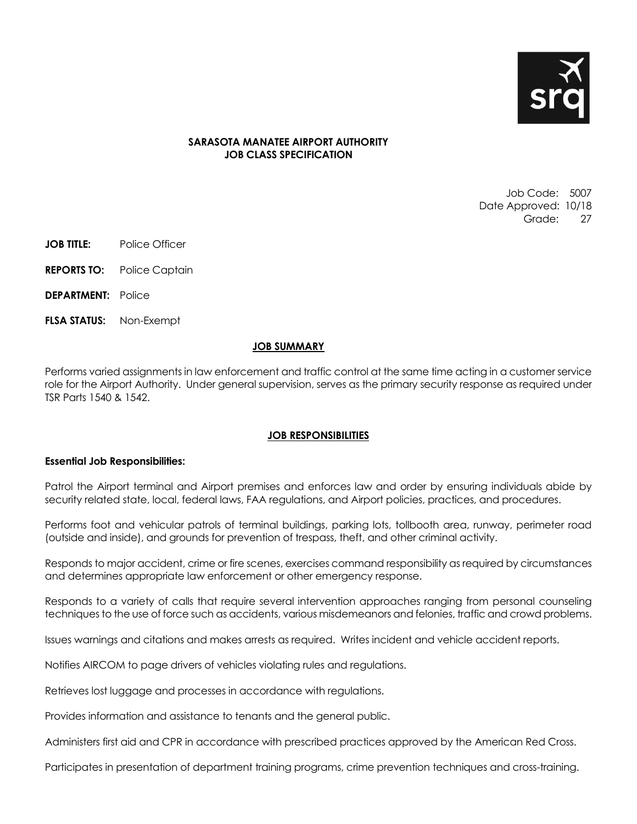

#### **SARASOTA MANATEE AIRPORT AUTHORITY JOB CLASS SPECIFICATION**

Job Code: 5007 Date Approved: 10/18 Grade: 27

- **JOB TITLE:** Police Officer
- **REPORTS TO:** Police Captain
- **DEPARTMENT:** Police
- **FLSA STATUS:** Non-Exempt

#### **JOB SUMMARY**

Performs varied assignments in law enforcement and traffic control at the same time acting in a customer service role for the Airport Authority. Under general supervision, serves as the primary security response as required under TSR Parts 1540 & 1542.

#### **JOB RESPONSIBILITIES**

#### **Essential Job Responsibilities:**

Patrol the Airport terminal and Airport premises and enforces law and order by ensuring individuals abide by security related state, local, federal laws, FAA regulations, and Airport policies, practices, and procedures.

Performs foot and vehicular patrols of terminal buildings, parking lots, tollbooth area, runway, perimeter road (outside and inside), and grounds for prevention of trespass, theft, and other criminal activity.

Responds to major accident, crime or fire scenes, exercises command responsibility as required by circumstances and determines appropriate law enforcement or other emergency response.

Responds to a variety of calls that require several intervention approaches ranging from personal counseling techniques to the use of force such as accidents, various misdemeanors and felonies, traffic and crowd problems.

Issues warnings and citations and makes arrests as required. Writes incident and vehicle accident reports.

Notifies AIRCOM to page drivers of vehicles violating rules and regulations.

Retrieves lost luggage and processes in accordance with regulations.

Provides information and assistance to tenants and the general public.

Administers first aid and CPR in accordance with prescribed practices approved by the American Red Cross.

Participates in presentation of department training programs, crime prevention techniques and cross-training.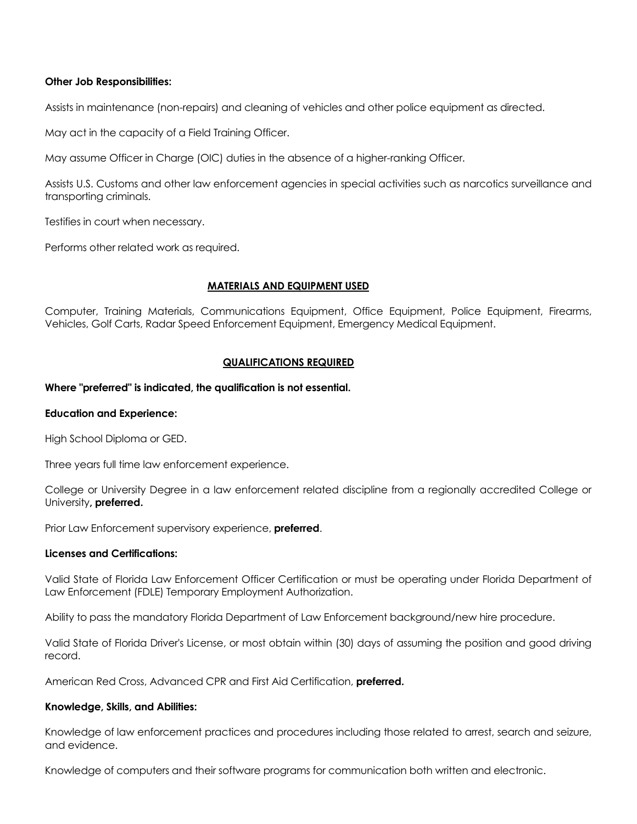#### **Other Job Responsibilities:**

Assists in maintenance (non-repairs) and cleaning of vehicles and other police equipment as directed.

May act in the capacity of a Field Training Officer.

May assume Officer in Charge (OIC) duties in the absence of a higher-ranking Officer.

Assists U.S. Customs and other law enforcement agencies in special activities such as narcotics surveillance and transporting criminals.

Testifies in court when necessary.

Performs other related work as required.

#### **MATERIALS AND EQUIPMENT USED**

Computer, Training Materials, Communications Equipment, Office Equipment, Police Equipment, Firearms, Vehicles, Golf Carts, Radar Speed Enforcement Equipment, Emergency Medical Equipment.

#### **QUALIFICATIONS REQUIRED**

#### **Where "preferred" is indicated, the qualification is not essential.**

#### **Education and Experience:**

High School Diploma or GED.

Three years full time law enforcement experience.

College or University Degree in a law enforcement related discipline from a regionally accredited College or University**, preferred.**

Prior Law Enforcement supervisory experience, **preferred**.

#### **Licenses and Certifications:**

Valid State of Florida Law Enforcement Officer Certification or must be operating under Florida Department of Law Enforcement (FDLE) Temporary Employment Authorization.

Ability to pass the mandatory Florida Department of Law Enforcement background/new hire procedure.

Valid State of Florida Driver's License, or most obtain within (30) days of assuming the position and good driving record.

American Red Cross, Advanced CPR and First Aid Certification, **preferred.**

#### **Knowledge, Skills, and Abilities:**

Knowledge of law enforcement practices and procedures including those related to arrest, search and seizure, and evidence.

Knowledge of computers and their software programs for communication both written and electronic.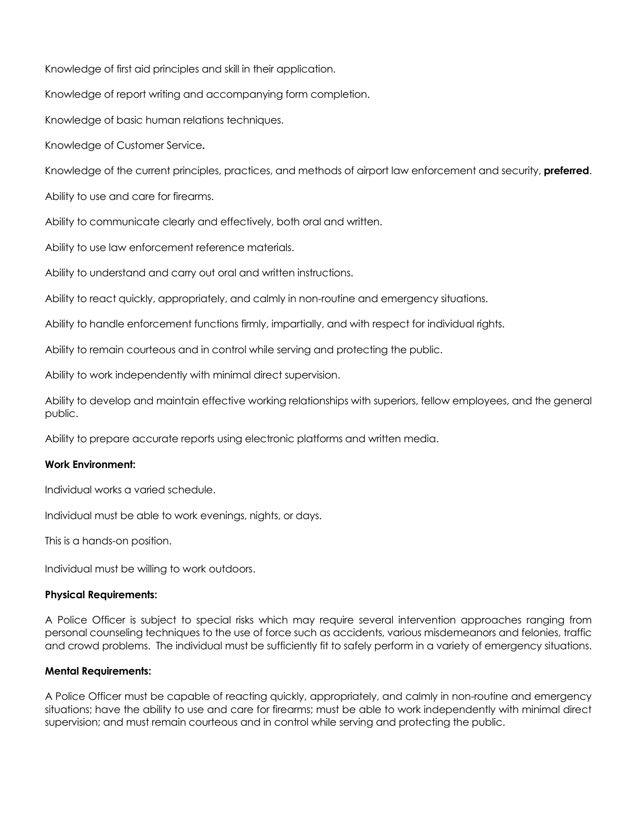Knowledge of first aid principles and skill in their application.

Knowledge of report writing and accompanying form completion.

Knowledge of basic human relations techniques.

Knowledge of Customer Service**.**

Knowledge of the current principles, practices, and methods of airport law enforcement and security, **preferred**.

Ability to use and care for firearms.

Ability to communicate clearly and effectively, both oral and written.

Ability to use law enforcement reference materials.

Ability to understand and carry out oral and written instructions.

Ability to react quickly, appropriately, and calmly in non-routine and emergency situations.

Ability to handle enforcement functions firmly, impartially, and with respect for individual rights.

Ability to remain courteous and in control while serving and protecting the public.

Ability to work independently with minimal direct supervision.

Ability to develop and maintain effective working relationships with superiors, fellow employees, and the general public.

Ability to prepare accurate reports using electronic platforms and written media.

#### **Work Environment:**

Individual works a varied schedule.

Individual must be able to work evenings, nights, or days.

This is a hands-on position.

Individual must be willing to work outdoors.

#### **Physical Requirements:**

A Police Officer is subject to special risks which may require several intervention approaches ranging from personal counseling techniques to the use of force such as accidents, various misdemeanors and felonies, traffic and crowd problems. The individual must be sufficiently fit to safely perform in a variety of emergency situations.

#### **Mental Requirements:**

A Police Officer must be capable of reacting quickly, appropriately, and calmly in non-routine and emergency situations; have the ability to use and care for firearms; must be able to work independently with minimal direct supervision; and must remain courteous and in control while serving and protecting the public.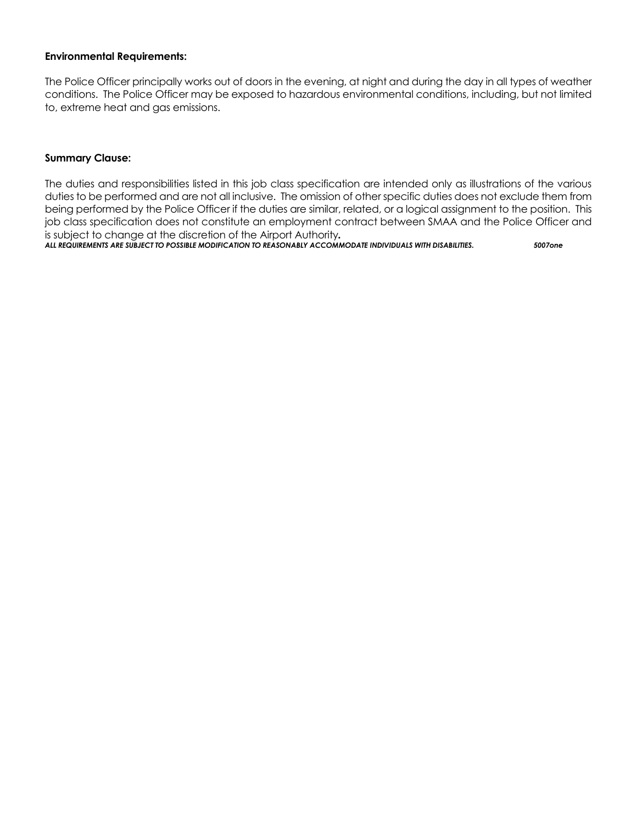#### **Environmental Requirements:**

The Police Officer principally works out of doors in the evening, at night and during the day in all types of weather conditions. The Police Officer may be exposed to hazardous environmental conditions, including, but not limited to, extreme heat and gas emissions.

#### **Summary Clause:**

The duties and responsibilities listed in this job class specification are intended only as illustrations of the various duties to be performed and are not all inclusive. The omission of other specific duties does not exclude them from being performed by the Police Officer if the duties are similar, related, or a logical assignment to the position. This job class specification does not constitute an employment contract between SMAA and the Police Officer and is subject to change at the discretion of the Airport Authority*.*

*ALL REQUIREMENTS ARE SUBJECT TO POSSIBLE MODIFICATION TO REASONABLY ACCOMMODATE INDIVIDUALS WITH DISABILITIES. 5007one*